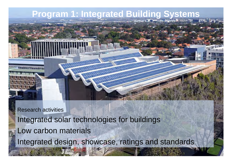

Research activities Integrated solar technologies for buildings Low carbon materials Integrated design, showcase, ratings and standards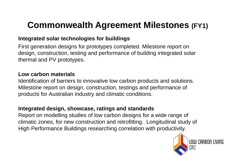### **Commonwealth Agreement Milestones (FY1) Milestones**

#### **Integrated solar technologies for buildings**

First generation designs for prototypes completed. Milestone report on design, construction, testing and performance of building integrated solar thermal and PV prototypes.

#### **Low carbon materials**

Identification of barriers to innovative low carbon products and solutions. Milestone report on design, construction, testings and performance of products for Australian industry and climatic conditions.

#### **Integrated design, showcase, ratings and standards**

Report on modelling studies of low carbon designs for a wide range of climatic zones, for new construction and retrofitting. Longitudinal study of High Performance Buildings researching correlation with productivity.

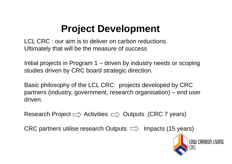### **Project Development**

LCL CRC : our aim is to deliver on carbon reductions. Ultimately that will be the measure of success

Initial projects in Program 1 –  $\hbox{--}$  driven by industry needs or scoping studies driven by CRC board strategic direction.

Basic philosophy of the LCL CRC: projects developed by CRC partners (industry, government, research organisation) – end user driven.

Research Project  $\Rightarrow$  Activities  $\Rightarrow$  Outputs (CRC 7 years)

CRC partners utilise research Outputs  $\implies$  Impacts (15 years)

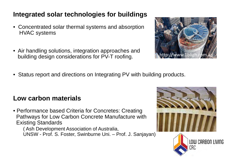### **Integrated solar technologies for buildings**

- Concentrated solar thermal systems and absorption HVAC systems
- Air handling solutions, integration approaches and building design considerations for PV-T roofing.



• Status report and directions on Integrating PV with building products.

#### **Low carbon materials**

• Performance based Criteria for Concretes: Creating Pathwa ys for Low Carbon Concrete Manufacture with Existing Standards

( Ash Development Association of Australia, UNSW - Prof. S. Foster, Swinburne Uni. – Prof. J. Sanjayan)

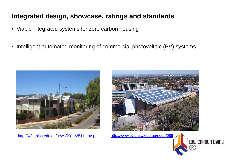#### **Integrated design, showcase, ratings and standards**

- Viable integrated systems for zero carbon housing
- • $\bullet\,$  Intelligent automated monitoring of commercial photovoltaic (PV) systems.



http://w3.unisa.edu.au/news/2011/251111.asp



http://www.pv.unsw.edu.au/node/689

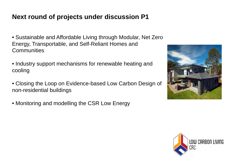### **Next round of projects under discussion P1**

- Sustainable and Affordable Living through Modular, Net Zero Energy, Transportable, and Self-Reliant Homes and **Communities**
- $\bullet$  Industry support mechanisms for renewable heating and cooling
- Closing the Loop on Evidence-based Low Carbon Design of non-residential buildings
- Monitoring and modelling the CSR Low Energy



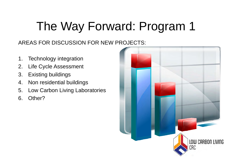# The Way Forward: Program 1

#### AREAS FOR DISCUSSION FOR NEW PROJECTS:

- 1. Technology integration
- 2. Life Cycle Assessment
- 3. Existing buildings
- 4.Non residential buildings
- 5. Low Carbon Living Laboratories
- 6. Other?

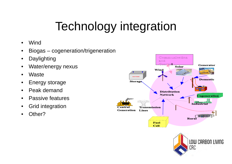# Technology integration

- •Wind
- $\bullet$ Biogas – cogeneration/trigeneration
- $\bullet$ Daylighting
- •Water/energy nexus
- •**Waste**
- $\bullet$ Energy storage
- •Peak demand
- •Passive features
- $\bullet$ Grid integration
- •Other?



CRC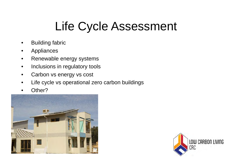### Life Cycle Assessment

- •Buildin g fabric
- •Appliances
- $\bullet$ Renewable energy systems
- $\bullet$ Inclusions in regulatory tools
- $\bullet$ Carbon vs energy vs cost
- •Life cycle vs operational zero carbon buildings
- •Other?



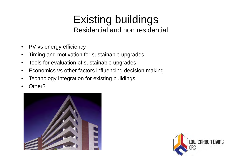### Existing buildings Residential and non residential

- $\bullet$ PV vs energy efficiency
- •Timing and motivation for sustainable upgrades
- •Tools for evaluation of sustainable upgrades
- $\bullet$ Economics vs other factors influencing decision making
- $\bullet$ Technology integration for existing buildings
- •Other?



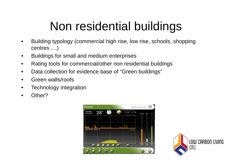# Non residential buildings

- • Building typology (commercial high rise, low rise, schools, shopping centres ....)
- •Buildings for small and medium enterprises
- $\bullet$ Rating tools for commercial/other non residential buildings
- $\bullet$ Data collection for evidence base of "Green buildings"
- •Green walls/roofs
- •Technology integration
- •Other?



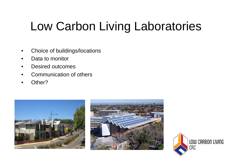# Low Carbon Living Laboratories

- •Choice of buildings/locations
- •Data to monitor
- •Desired outcomes
- •Communication of others
- •Other?